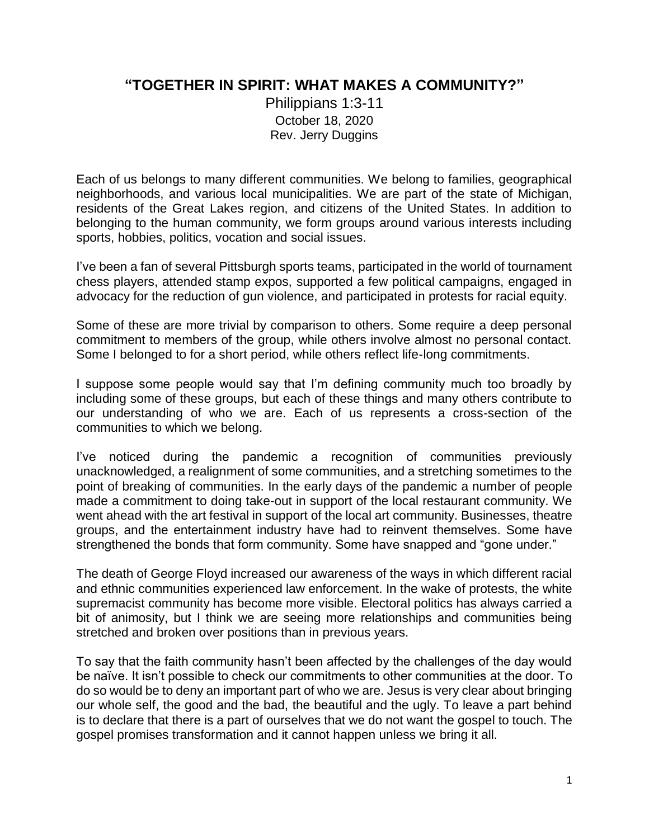## **"TOGETHER IN SPIRIT: WHAT MAKES A COMMUNITY?"**

Philippians 1:3-11 October 18, 2020 Rev. Jerry Duggins

Each of us belongs to many different communities. We belong to families, geographical neighborhoods, and various local municipalities. We are part of the state of Michigan, residents of the Great Lakes region, and citizens of the United States. In addition to belonging to the human community, we form groups around various interests including sports, hobbies, politics, vocation and social issues.

I've been a fan of several Pittsburgh sports teams, participated in the world of tournament chess players, attended stamp expos, supported a few political campaigns, engaged in advocacy for the reduction of gun violence, and participated in protests for racial equity.

Some of these are more trivial by comparison to others. Some require a deep personal commitment to members of the group, while others involve almost no personal contact. Some I belonged to for a short period, while others reflect life-long commitments.

I suppose some people would say that I'm defining community much too broadly by including some of these groups, but each of these things and many others contribute to our understanding of who we are. Each of us represents a cross-section of the communities to which we belong.

I've noticed during the pandemic a recognition of communities previously unacknowledged, a realignment of some communities, and a stretching sometimes to the point of breaking of communities. In the early days of the pandemic a number of people made a commitment to doing take-out in support of the local restaurant community. We went ahead with the art festival in support of the local art community. Businesses, theatre groups, and the entertainment industry have had to reinvent themselves. Some have strengthened the bonds that form community. Some have snapped and "gone under."

The death of George Floyd increased our awareness of the ways in which different racial and ethnic communities experienced law enforcement. In the wake of protests, the white supremacist community has become more visible. Electoral politics has always carried a bit of animosity, but I think we are seeing more relationships and communities being stretched and broken over positions than in previous years.

To say that the faith community hasn't been affected by the challenges of the day would be naïve. It isn't possible to check our commitments to other communities at the door. To do so would be to deny an important part of who we are. Jesus is very clear about bringing our whole self, the good and the bad, the beautiful and the ugly. To leave a part behind is to declare that there is a part of ourselves that we do not want the gospel to touch. The gospel promises transformation and it cannot happen unless we bring it all.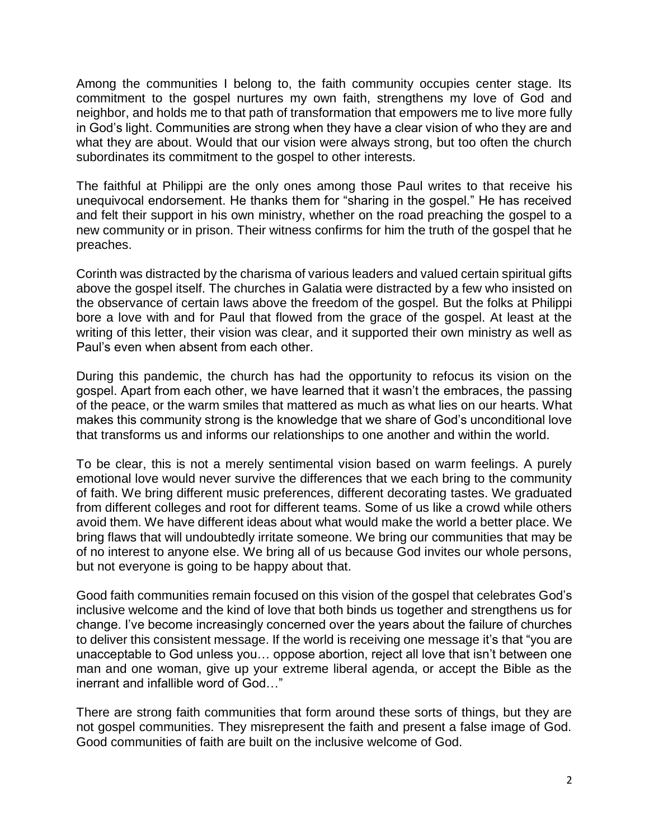Among the communities I belong to, the faith community occupies center stage. Its commitment to the gospel nurtures my own faith, strengthens my love of God and neighbor, and holds me to that path of transformation that empowers me to live more fully in God's light. Communities are strong when they have a clear vision of who they are and what they are about. Would that our vision were always strong, but too often the church subordinates its commitment to the gospel to other interests.

The faithful at Philippi are the only ones among those Paul writes to that receive his unequivocal endorsement. He thanks them for "sharing in the gospel." He has received and felt their support in his own ministry, whether on the road preaching the gospel to a new community or in prison. Their witness confirms for him the truth of the gospel that he preaches.

Corinth was distracted by the charisma of various leaders and valued certain spiritual gifts above the gospel itself. The churches in Galatia were distracted by a few who insisted on the observance of certain laws above the freedom of the gospel. But the folks at Philippi bore a love with and for Paul that flowed from the grace of the gospel. At least at the writing of this letter, their vision was clear, and it supported their own ministry as well as Paul's even when absent from each other.

During this pandemic, the church has had the opportunity to refocus its vision on the gospel. Apart from each other, we have learned that it wasn't the embraces, the passing of the peace, or the warm smiles that mattered as much as what lies on our hearts. What makes this community strong is the knowledge that we share of God's unconditional love that transforms us and informs our relationships to one another and within the world.

To be clear, this is not a merely sentimental vision based on warm feelings. A purely emotional love would never survive the differences that we each bring to the community of faith. We bring different music preferences, different decorating tastes. We graduated from different colleges and root for different teams. Some of us like a crowd while others avoid them. We have different ideas about what would make the world a better place. We bring flaws that will undoubtedly irritate someone. We bring our communities that may be of no interest to anyone else. We bring all of us because God invites our whole persons, but not everyone is going to be happy about that.

Good faith communities remain focused on this vision of the gospel that celebrates God's inclusive welcome and the kind of love that both binds us together and strengthens us for change. I've become increasingly concerned over the years about the failure of churches to deliver this consistent message. If the world is receiving one message it's that "you are unacceptable to God unless you… oppose abortion, reject all love that isn't between one man and one woman, give up your extreme liberal agenda, or accept the Bible as the inerrant and infallible word of God…"

There are strong faith communities that form around these sorts of things, but they are not gospel communities. They misrepresent the faith and present a false image of God. Good communities of faith are built on the inclusive welcome of God.